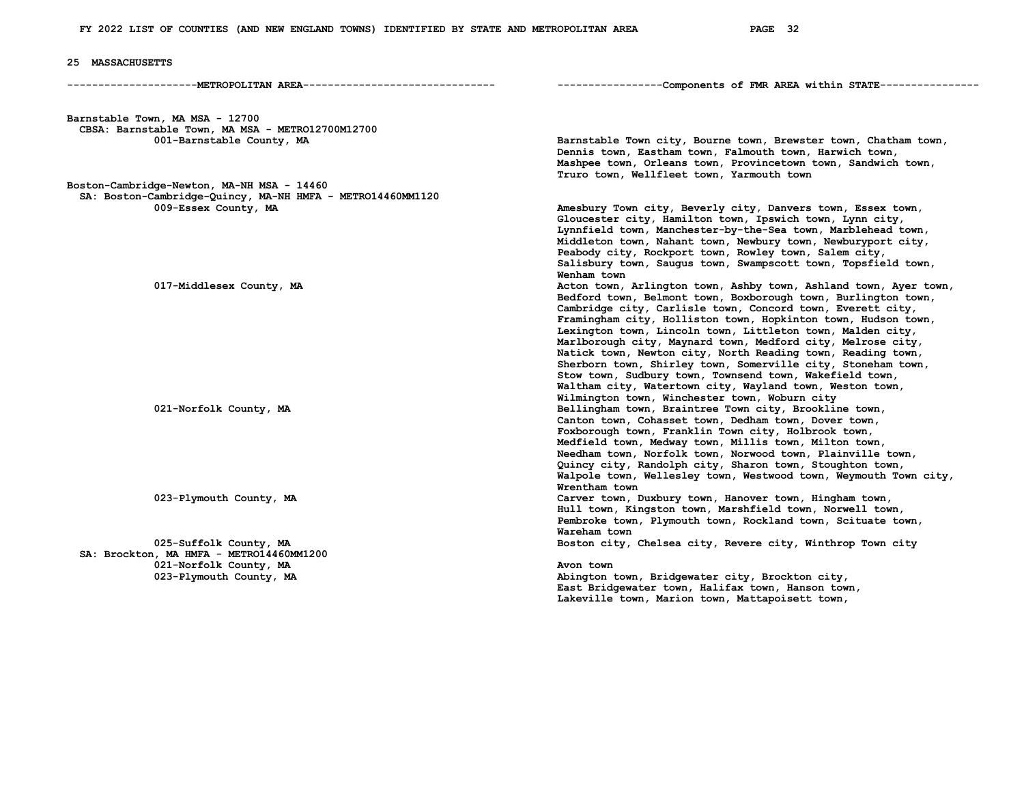## **25 MASSACHUSETTS**

**---------------------METROPOLITAN AREA------------------------------- -----------------Components of FMR AREA within STATE----------------**

**Barnstable Town, MA MSA - 12700 CBSA: Barnstable Town, MA MSA - METRO12700M12700** 

**Boston-Cambridge-Newton, MA-NH MSA - 14460 SA: Boston-Cambridge-Quincy, MA-NH HMFA - METRO14460MM1120** 

 **SA: Brockton, MA HMFA - METRO14460MM1200 021-Norfolk County, MA Avon town <b>Avon town Avon town**  023-Plymouth County, MA

Barnstable Town city, Bourne town, Brewster town, Chatham town,  **Dennis town, Eastham town, Falmouth town, Harwich town, Mashpee town, Orleans town, Provincetown town, Sandwich town, Truro town, Wellfleet town, Yarmouth town** 

 **009-Essex County, MA Amesbury Town city, Beverly city, Danvers town, Essex town, Gloucester city, Hamilton town, Ipswich town, Lynn city, Lynnfield town, Manchester-by-the-Sea town, Marblehead town, Middleton town, Nahant town, Newbury town, Newburyport city, Peabody city, Rockport town, Rowley town, Salem city, Salisbury town, Saugus town, Swampscott town, Topsfield town,**  *Wenham town* 017-Middlesex County, MA **Acton town, Arlington town, Ashby town, Ashland town**, Ayer town,  **Bedford town, Belmont town, Boxborough town, Burlington town, Cambridge city, Carlisle town, Concord town, Everett city, Framingham city, Holliston town, Hopkinton town, Hudson town, Lexington town, Lincoln town, Littleton town, Malden city, Marlborough city, Maynard town, Medford city, Melrose city, Natick town, Newton city, North Reading town, Reading town, Sherborn town, Shirley town, Somerville city, Stoneham town, Stow town, Sudbury town, Townsend town, Wakefield town, Waltham city, Watertown city, Wayland town, Weston town,**  Wilmington town, Winchester town, Woburn city<br>Dellingham town, Braintree Town city, Brooklin Bellingham town, Braintree Town city, Brookline town,  **Canton town, Cohasset town, Dedham town, Dover town, Foxborough town, Franklin Town city, Holbrook town, Medfield town, Medway town, Millis town, Milton town, Needham town, Norfolk town, Norwood town, Plainville town, Quincy city, Randolph city, Sharon town, Stoughton town, Walpole town, Wellesley town, Westwood town, Weymouth Town city, Wrentham town**  023-Plymouth County, MA **Carver town, Duxbury town, Hanover town**, Hingham town,  **Hull town, Kingston town, Marshfield town, Norwell town, Pembroke town, Plymouth town, Rockland town, Scituate town, Wareham town 1986** Mareham town **Wareham town**<br>  **Wareham town boston city** Boston city, Chelsea city, Revere city, Winthrop Town city

Abington town, Bridgewater city, Brockton city,  **East Bridgewater town, Halifax town, Hanson town, Lakeville town, Marion town, Mattapoisett town,**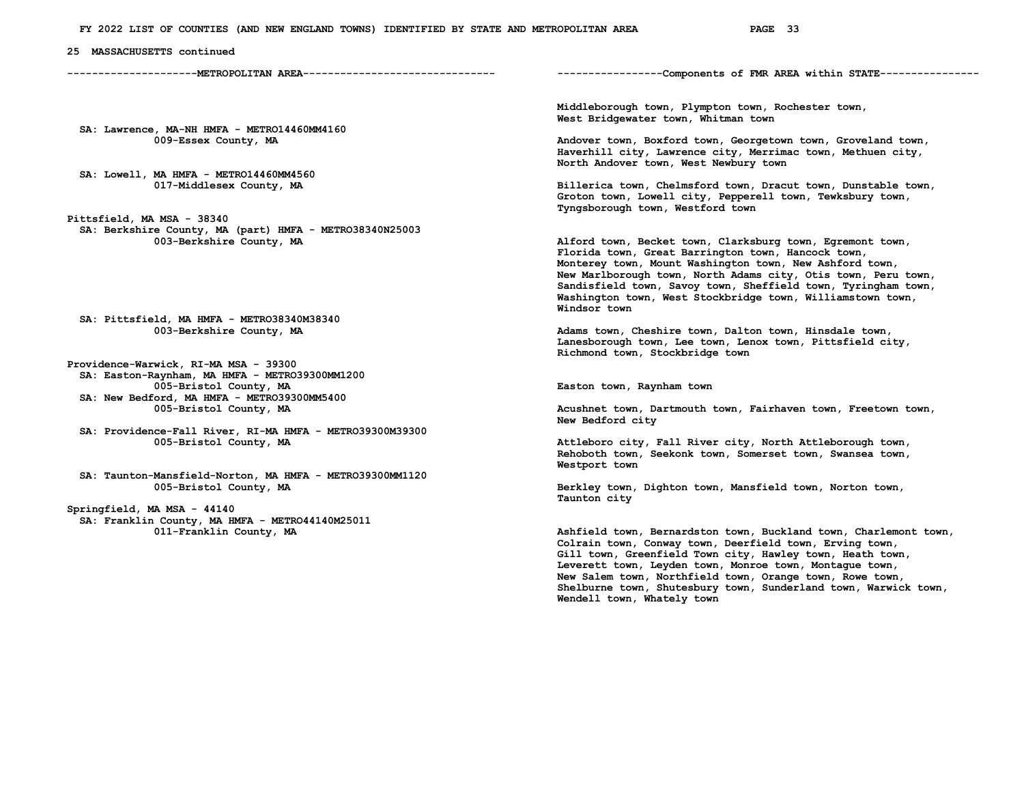**25 MASSACHUSETTS continued** 

**---------------------METROPOLITAN AREA------------------------------- -----------------Components of FMR AREA within STATE----------------**

 **SA: Lawrence, MA-NH HMFA - METRO14460MM4160** 

 **SA: Lowell, MA HMFA - METRO14460MM4560** 

**Pittsfield, MA MSA - 38340 SA: Berkshire County, MA (part) HMFA - METRO38340N25003** 

 **SA: Pittsfield, MA HMFA - METRO38340M38340** 

**Providence-Warwick, RI-MA MSA - 39300 SA: Easton-Raynham, MA HMFA - METRO39300MM1200 SA: New Bedford, MA HMFA - METRO39300MM5400** 

 **SA: Providence-Fall River, RI-MA HMFA - METRO39300M39300** 

 **SA: Taunton-Mansfield-Norton, MA HMFA - METRO39300MM1120**  005-Bristol County, MA **Berkley town, Dighton town, Mansfield town**, Norton town,

**Springfield, MA MSA - 44140 SA: Franklin County, MA HMFA - METRO44140M25011**   **Middleborough town, Plympton town, Rochester town, West Bridgewater town, Whitman town** 

Andover town, Boxford town, Georgetown town, Groveland town,  **Haverhill city, Lawrence city, Merrimac town, Methuen city, North Andover town, West Newbury town** 

Billerica town, Chelmsford town, Dracut town, Dunstable town,  **Groton town, Lowell city, Pepperell town, Tewksbury town, Tyngsborough town, Westford town** 

Alford town, Becket town, Clarksburg town, Egremont town,  **Florida town, Great Barrington town, Hancock town, Monterey town, Mount Washington town, New Ashford town, New Marlborough town, North Adams city, Otis town, Peru town, Sandisfield town, Savoy town, Sheffield town, Tyringham town, Washington town, West Stockbridge town, Williamstown town, Windsor town** 

Adams town, Cheshire town, Dalton town, Hinsdale town,  **Lanesborough town, Lee town, Lenox town, Pittsfield city, Richmond town, Stockbridge town** 

Easton town, Raynham town

Acushnet town, Dartmouth town, Fairhaven town, Freetown town,  **New Bedford city** 

 **005-Bristol County, MA Attleboro city, Fall River city, North Attleborough town, Rehoboth town, Seekonk town, Somerset town, Swansea town, Westport town** 

 **Taunton city** 

Ashfield town, Bernardston town, Buckland town, Charlemont town,  **Colrain town, Conway town, Deerfield town, Erving town, Gill town, Greenfield Town city, Hawley town, Heath town, Leverett town, Leyden town, Monroe town, Montague town, New Salem town, Northfield town, Orange town, Rowe town, Shelburne town, Shutesbury town, Sunderland town, Warwick town, Wendell town, Whately town**